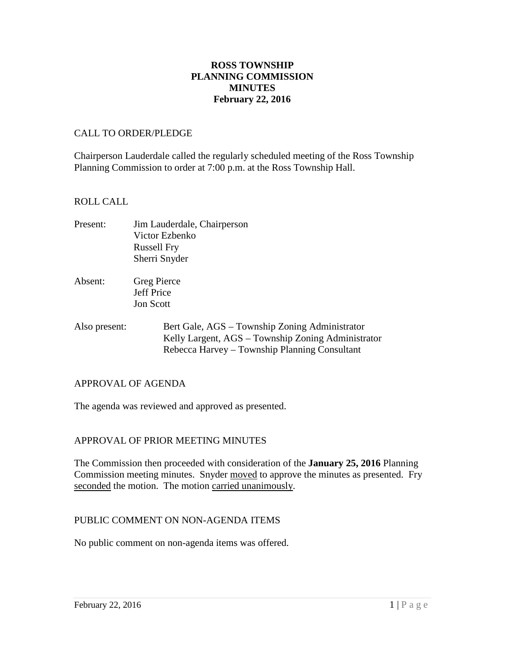## **ROSS TOWNSHIP PLANNING COMMISSION MINUTES February 22, 2016**

#### CALL TO ORDER/PLEDGE

Chairperson Lauderdale called the regularly scheduled meeting of the Ross Township Planning Commission to order at 7:00 p.m. at the Ross Township Hall.

#### ROLL CALL

| Present: | Jim Lauderdale, Chairperson |
|----------|-----------------------------|
|          | Victor Ezbenko              |
|          | <b>Russell Fry</b>          |
|          | Sherri Snyder               |

- Absent: Greg Pierce Jeff Price Jon Scott
- Also present: Bert Gale, AGS Township Zoning Administrator Kelly Largent, AGS – Township Zoning Administrator Rebecca Harvey – Township Planning Consultant

#### APPROVAL OF AGENDA

The agenda was reviewed and approved as presented.

## APPROVAL OF PRIOR MEETING MINUTES

The Commission then proceeded with consideration of the **January 25, 2016** Planning Commission meeting minutes. Snyder moved to approve the minutes as presented. Fry seconded the motion. The motion carried unanimously.

#### PUBLIC COMMENT ON NON-AGENDA ITEMS

No public comment on non-agenda items was offered.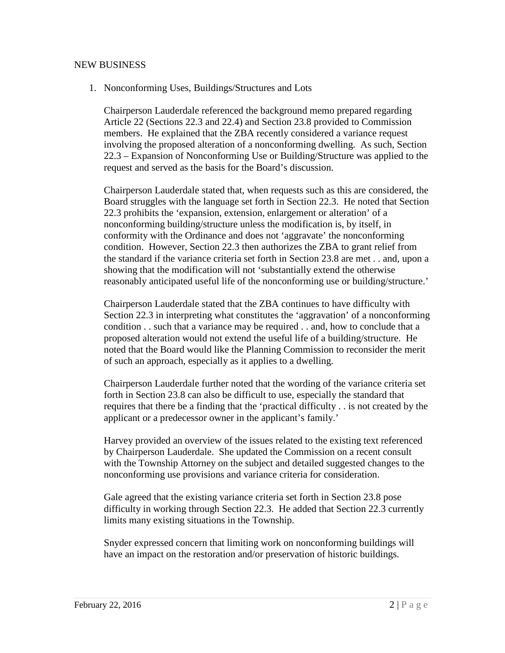#### NEW BUSINESS

1. Nonconforming Uses, Buildings/Structures and Lots

Chairperson Lauderdale referenced the background memo prepared regarding Article 22 (Sections 22.3 and 22.4) and Section 23.8 provided to Commission members. He explained that the ZBA recently considered a variance request involving the proposed alteration of a nonconforming dwelling. As such, Section 22.3 – Expansion of Nonconforming Use or Building/Structure was applied to the request and served as the basis for the Board's discussion.

Chairperson Lauderdale stated that, when requests such as this are considered, the Board struggles with the language set forth in Section 22.3. He noted that Section 22.3 prohibits the 'expansion, extension, enlargement or alteration' of a nonconforming building/structure unless the modification is, by itself, in conformity with the Ordinance and does not 'aggravate' the nonconforming condition. However, Section 22.3 then authorizes the ZBA to grant relief from the standard if the variance criteria set forth in Section 23.8 are met . . and, upon a showing that the modification will not 'substantially extend the otherwise reasonably anticipated useful life of the nonconforming use or building/structure.'

Chairperson Lauderdale stated that the ZBA continues to have difficulty with Section 22.3 in interpreting what constitutes the 'aggravation' of a nonconforming condition . . such that a variance may be required . . and, how to conclude that a proposed alteration would not extend the useful life of a building/structure. He noted that the Board would like the Planning Commission to reconsider the merit of such an approach, especially as it applies to a dwelling.

Chairperson Lauderdale further noted that the wording of the variance criteria set forth in Section 23.8 can also be difficult to use, especially the standard that requires that there be a finding that the 'practical difficulty . . is not created by the applicant or a predecessor owner in the applicant's family.'

Harvey provided an overview of the issues related to the existing text referenced by Chairperson Lauderdale. She updated the Commission on a recent consult with the Township Attorney on the subject and detailed suggested changes to the nonconforming use provisions and variance criteria for consideration.

Gale agreed that the existing variance criteria set forth in Section 23.8 pose difficulty in working through Section 22.3. He added that Section 22.3 currently limits many existing situations in the Township.

Snyder expressed concern that limiting work on nonconforming buildings will have an impact on the restoration and/or preservation of historic buildings.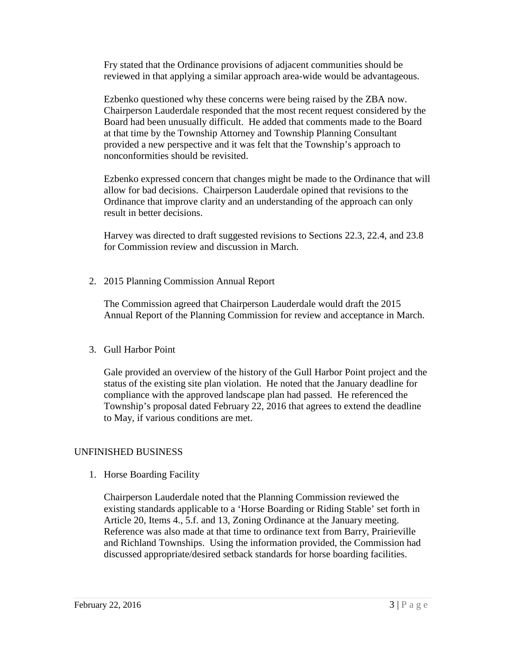Fry stated that the Ordinance provisions of adjacent communities should be reviewed in that applying a similar approach area-wide would be advantageous.

Ezbenko questioned why these concerns were being raised by the ZBA now. Chairperson Lauderdale responded that the most recent request considered by the Board had been unusually difficult. He added that comments made to the Board at that time by the Township Attorney and Township Planning Consultant provided a new perspective and it was felt that the Township's approach to nonconformities should be revisited.

Ezbenko expressed concern that changes might be made to the Ordinance that will allow for bad decisions. Chairperson Lauderdale opined that revisions to the Ordinance that improve clarity and an understanding of the approach can only result in better decisions.

Harvey was directed to draft suggested revisions to Sections 22.3, 22.4, and 23.8 for Commission review and discussion in March.

2. 2015 Planning Commission Annual Report

The Commission agreed that Chairperson Lauderdale would draft the 2015 Annual Report of the Planning Commission for review and acceptance in March.

## 3. Gull Harbor Point

Gale provided an overview of the history of the Gull Harbor Point project and the status of the existing site plan violation. He noted that the January deadline for compliance with the approved landscape plan had passed. He referenced the Township's proposal dated February 22, 2016 that agrees to extend the deadline to May, if various conditions are met.

## UNFINISHED BUSINESS

1. Horse Boarding Facility

Chairperson Lauderdale noted that the Planning Commission reviewed the existing standards applicable to a 'Horse Boarding or Riding Stable' set forth in Article 20, Items 4., 5.f. and 13, Zoning Ordinance at the January meeting. Reference was also made at that time to ordinance text from Barry, Prairieville and Richland Townships. Using the information provided, the Commission had discussed appropriate/desired setback standards for horse boarding facilities.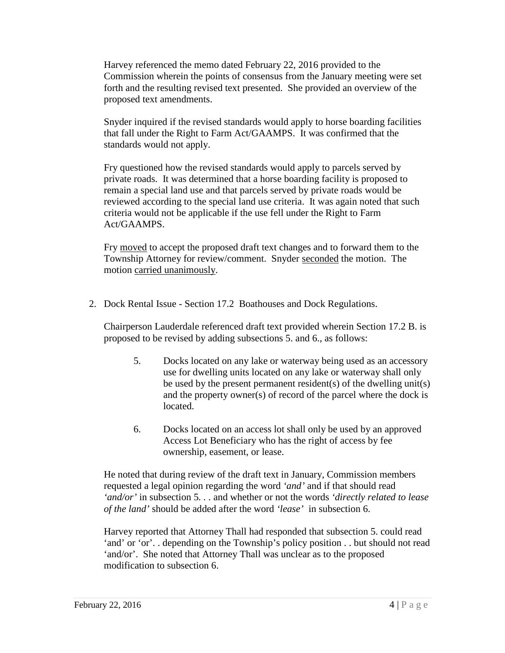Harvey referenced the memo dated February 22, 2016 provided to the Commission wherein the points of consensus from the January meeting were set forth and the resulting revised text presented. She provided an overview of the proposed text amendments.

Snyder inquired if the revised standards would apply to horse boarding facilities that fall under the Right to Farm Act/GAAMPS. It was confirmed that the standards would not apply.

Fry questioned how the revised standards would apply to parcels served by private roads. It was determined that a horse boarding facility is proposed to remain a special land use and that parcels served by private roads would be reviewed according to the special land use criteria. It was again noted that such criteria would not be applicable if the use fell under the Right to Farm Act/GAAMPS.

Fry moved to accept the proposed draft text changes and to forward them to the Township Attorney for review/comment. Snyder seconded the motion. The motion carried unanimously.

2. Dock Rental Issue - Section 17.2 Boathouses and Dock Regulations.

Chairperson Lauderdale referenced draft text provided wherein Section 17.2 B. is proposed to be revised by adding subsections 5. and 6., as follows:

- 5. Docks located on any lake or waterway being used as an accessory use for dwelling units located on any lake or waterway shall only be used by the present permanent resident(s) of the dwelling unit(s) and the property owner(s) of record of the parcel where the dock is located.
- 6. Docks located on an access lot shall only be used by an approved Access Lot Beneficiary who has the right of access by fee ownership, easement, or lease.

He noted that during review of the draft text in January, Commission members requested a legal opinion regarding the word *'and'* and if that should read *'and/or'* in subsection 5*. . .* and whether or not the words *'directly related to lease of the land'* should be added after the word *'lease'* in subsection 6.

Harvey reported that Attorney Thall had responded that subsection 5. could read 'and' or 'or'. . depending on the Township's policy position . . but should not read 'and/or'. She noted that Attorney Thall was unclear as to the proposed modification to subsection 6.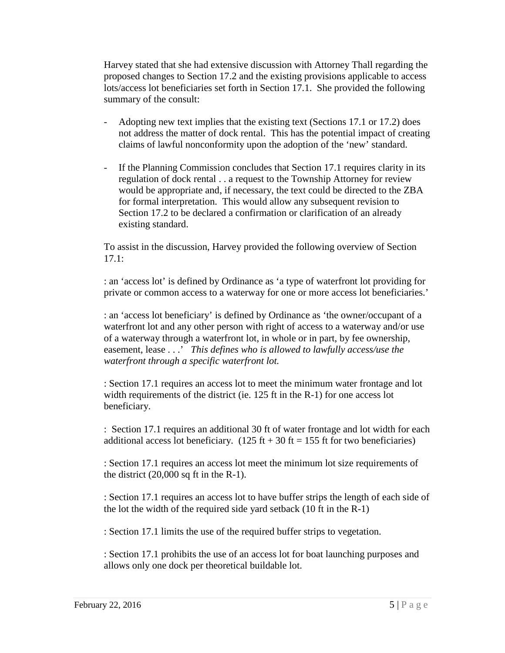Harvey stated that she had extensive discussion with Attorney Thall regarding the proposed changes to Section 17.2 and the existing provisions applicable to access lots/access lot beneficiaries set forth in Section 17.1. She provided the following summary of the consult:

- Adopting new text implies that the existing text (Sections 17.1 or 17.2) does not address the matter of dock rental. This has the potential impact of creating claims of lawful nonconformity upon the adoption of the 'new' standard.
- If the Planning Commission concludes that Section 17.1 requires clarity in its regulation of dock rental . . a request to the Township Attorney for review would be appropriate and, if necessary, the text could be directed to the ZBA for formal interpretation. This would allow any subsequent revision to Section 17.2 to be declared a confirmation or clarification of an already existing standard.

To assist in the discussion, Harvey provided the following overview of Section 17.1:

: an 'access lot' is defined by Ordinance as 'a type of waterfront lot providing for private or common access to a waterway for one or more access lot beneficiaries.'

: an 'access lot beneficiary' is defined by Ordinance as 'the owner/occupant of a waterfront lot and any other person with right of access to a waterway and/or use of a waterway through a waterfront lot, in whole or in part, by fee ownership, easement, lease . . .' *This defines who is allowed to lawfully access/use the waterfront through a specific waterfront lot.*

: Section 17.1 requires an access lot to meet the minimum water frontage and lot width requirements of the district (ie. 125 ft in the R-1) for one access lot beneficiary.

: Section 17.1 requires an additional 30 ft of water frontage and lot width for each additional access lot beneficiary.  $(125 \text{ ft} + 30 \text{ ft} = 155 \text{ ft}$  for two beneficiaries)

: Section 17.1 requires an access lot meet the minimum lot size requirements of the district  $(20,000 \text{ sq ft in the R-1}).$ 

: Section 17.1 requires an access lot to have buffer strips the length of each side of the lot the width of the required side yard setback (10 ft in the R-1)

: Section 17.1 limits the use of the required buffer strips to vegetation.

: Section 17.1 prohibits the use of an access lot for boat launching purposes and allows only one dock per theoretical buildable lot.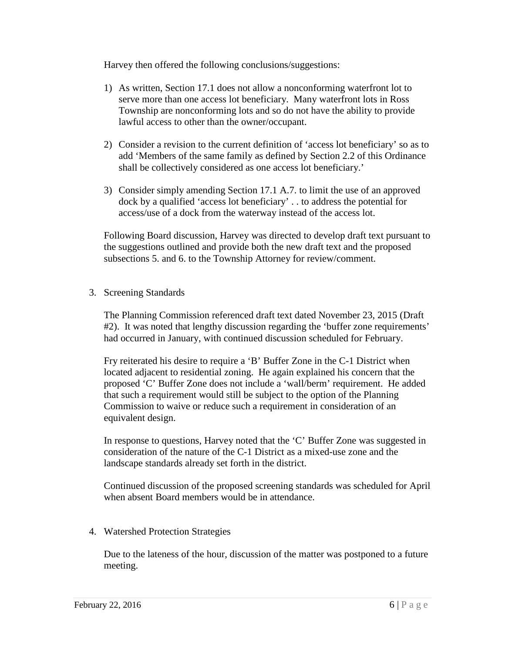Harvey then offered the following conclusions/suggestions:

- 1) As written, Section 17.1 does not allow a nonconforming waterfront lot to serve more than one access lot beneficiary. Many waterfront lots in Ross Township are nonconforming lots and so do not have the ability to provide lawful access to other than the owner/occupant.
- 2) Consider a revision to the current definition of 'access lot beneficiary' so as to add 'Members of the same family as defined by Section 2.2 of this Ordinance shall be collectively considered as one access lot beneficiary.'
- 3) Consider simply amending Section 17.1 A.7. to limit the use of an approved dock by a qualified 'access lot beneficiary' . . to address the potential for access/use of a dock from the waterway instead of the access lot.

Following Board discussion, Harvey was directed to develop draft text pursuant to the suggestions outlined and provide both the new draft text and the proposed subsections 5. and 6. to the Township Attorney for review/comment.

3. Screening Standards

The Planning Commission referenced draft text dated November 23, 2015 (Draft #2). It was noted that lengthy discussion regarding the 'buffer zone requirements' had occurred in January, with continued discussion scheduled for February.

Fry reiterated his desire to require a 'B' Buffer Zone in the C-1 District when located adjacent to residential zoning. He again explained his concern that the proposed 'C' Buffer Zone does not include a 'wall/berm' requirement. He added that such a requirement would still be subject to the option of the Planning Commission to waive or reduce such a requirement in consideration of an equivalent design.

In response to questions, Harvey noted that the 'C' Buffer Zone was suggested in consideration of the nature of the C-1 District as a mixed-use zone and the landscape standards already set forth in the district.

Continued discussion of the proposed screening standards was scheduled for April when absent Board members would be in attendance.

4. Watershed Protection Strategies

Due to the lateness of the hour, discussion of the matter was postponed to a future meeting.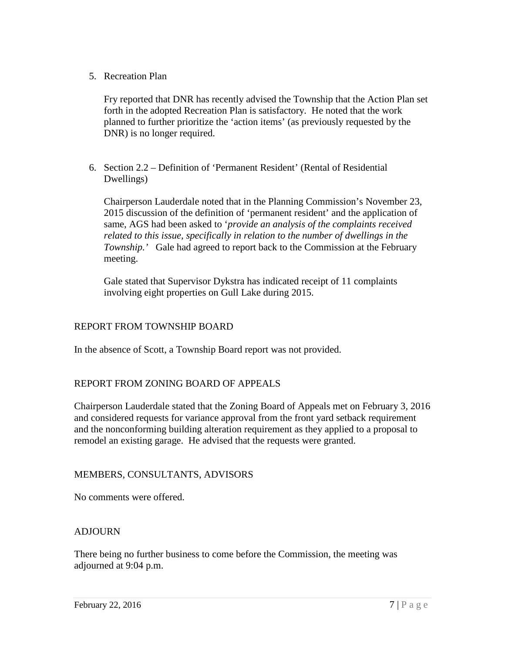5. Recreation Plan

Fry reported that DNR has recently advised the Township that the Action Plan set forth in the adopted Recreation Plan is satisfactory. He noted that the work planned to further prioritize the 'action items' (as previously requested by the DNR) is no longer required.

6. Section 2.2 – Definition of 'Permanent Resident' (Rental of Residential Dwellings)

Chairperson Lauderdale noted that in the Planning Commission's November 23, 2015 discussion of the definition of 'permanent resident' and the application of same, AGS had been asked to '*provide an analysis of the complaints received related to this issue, specifically in relation to the number of dwellings in the Township.'* Gale had agreed to report back to the Commission at the February meeting.

Gale stated that Supervisor Dykstra has indicated receipt of 11 complaints involving eight properties on Gull Lake during 2015.

# REPORT FROM TOWNSHIP BOARD

In the absence of Scott, a Township Board report was not provided.

# REPORT FROM ZONING BOARD OF APPEALS

Chairperson Lauderdale stated that the Zoning Board of Appeals met on February 3, 2016 and considered requests for variance approval from the front yard setback requirement and the nonconforming building alteration requirement as they applied to a proposal to remodel an existing garage. He advised that the requests were granted.

## MEMBERS, CONSULTANTS, ADVISORS

No comments were offered.

# **ADJOURN**

There being no further business to come before the Commission, the meeting was adjourned at 9:04 p.m.